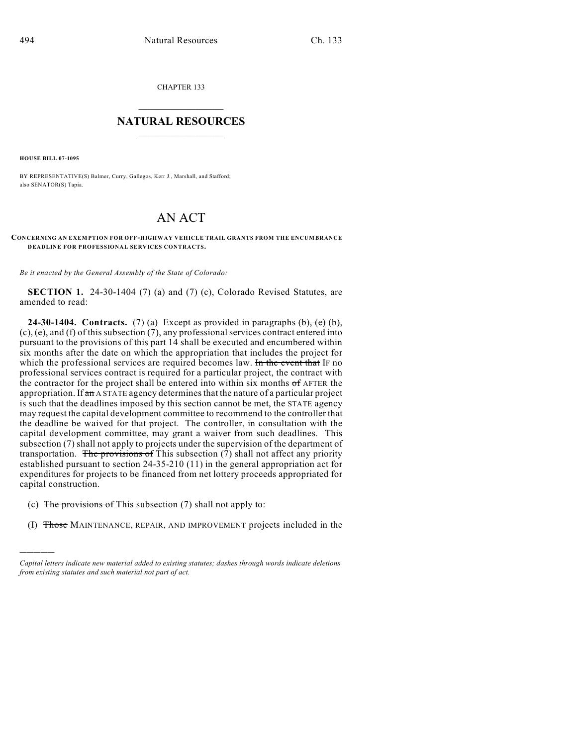CHAPTER 133

## $\mathcal{L}_\text{max}$  . The set of the set of the set of the set of the set of the set of the set of the set of the set of the set of the set of the set of the set of the set of the set of the set of the set of the set of the set **NATURAL RESOURCES**  $\frac{1}{\sqrt{2}}$  , where  $\frac{1}{\sqrt{2}}$  ,  $\frac{1}{\sqrt{2}}$  ,  $\frac{1}{\sqrt{2}}$

**HOUSE BILL 07-1095**

)))))

BY REPRESENTATIVE(S) Balmer, Curry, Gallegos, Kerr J., Marshall, and Stafford; also SENATOR(S) Tapia.

## AN ACT

**CONCERNING AN EXEM PTION FOR OFF-HIGHWAY VEHICLE TRAIL GRANTS FROM THE ENCUMBRANCE DEADLINE FOR PROFESSIONAL SERVICES CONTRACTS.**

*Be it enacted by the General Assembly of the State of Colorado:*

**SECTION 1.** 24-30-1404 (7) (a) and (7) (c), Colorado Revised Statutes, are amended to read:

**24-30-1404.** Contracts. (7) (a) Except as provided in paragraphs  $(\theta)$ ,  $(\epsilon)$  (b), (c), (e), and (f) of this subsection (7), any professional services contract entered into pursuant to the provisions of this part 14 shall be executed and encumbered within six months after the date on which the appropriation that includes the project for which the professional services are required becomes law. In the event that IF no professional services contract is required for a particular project, the contract with the contractor for the project shall be entered into within six months of AFTER the appropriation. If an A STATE agency determines that the nature of a particular project is such that the deadlines imposed by this section cannot be met, the STATE agency may request the capital development committee to recommend to the controller that the deadline be waived for that project. The controller, in consultation with the capital development committee, may grant a waiver from such deadlines. This subsection (7) shall not apply to projects under the supervision of the department of transportation. The provisions of This subsection  $(7)$  shall not affect any priority established pursuant to section 24-35-210 (11) in the general appropriation act for expenditures for projects to be financed from net lottery proceeds appropriated for capital construction.

- (c) The provisions of This subsection  $(7)$  shall not apply to:
- (I) Those MAINTENANCE, REPAIR, AND IMPROVEMENT projects included in the

*Capital letters indicate new material added to existing statutes; dashes through words indicate deletions from existing statutes and such material not part of act.*